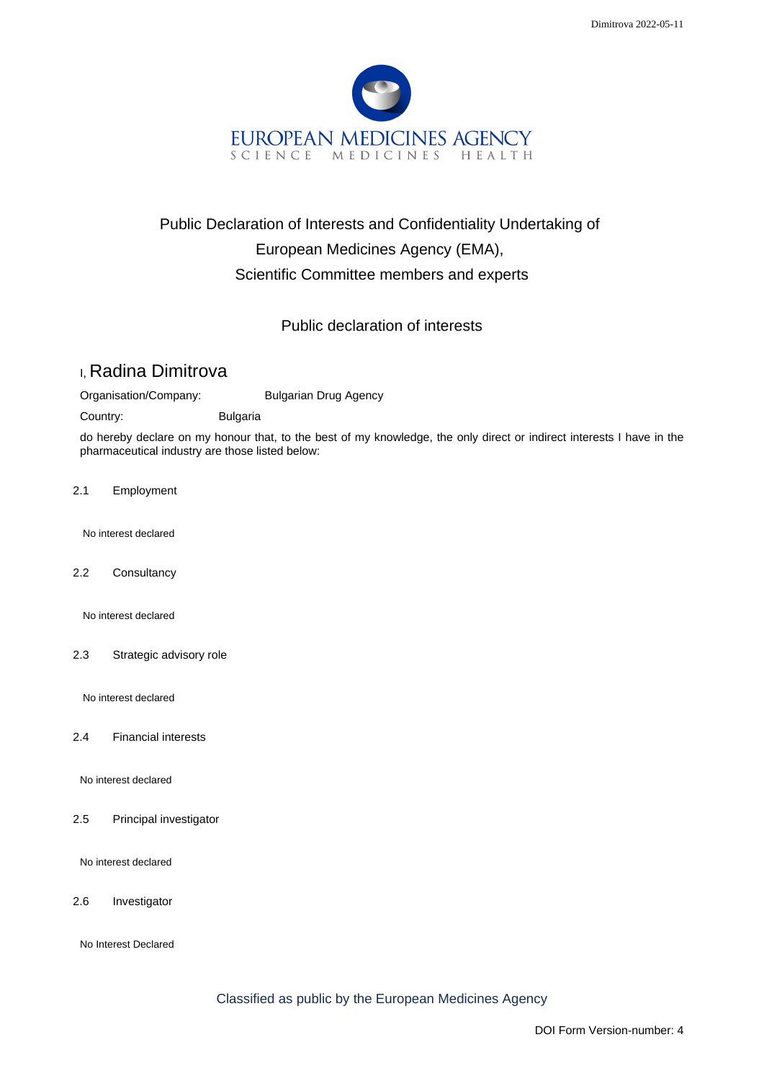

## Public Declaration of Interests and Confidentiality Undertaking of European Medicines Agency (EMA), Scientific Committee members and experts

## Public declaration of interests

## I, Radina Dimitrova

Organisation/Company: Bulgarian Drug Agency

Country: Bulgaria

do hereby declare on my honour that, to the best of my knowledge, the only direct or indirect interests I have in the pharmaceutical industry are those listed below:

2.1 Employment

No interest declared

2.2 Consultancy

No interest declared

2.3 Strategic advisory role

No interest declared

2.4 Financial interests

No interest declared

2.5 Principal investigator

No interest declared

2.6 Investigator

No Interest Declared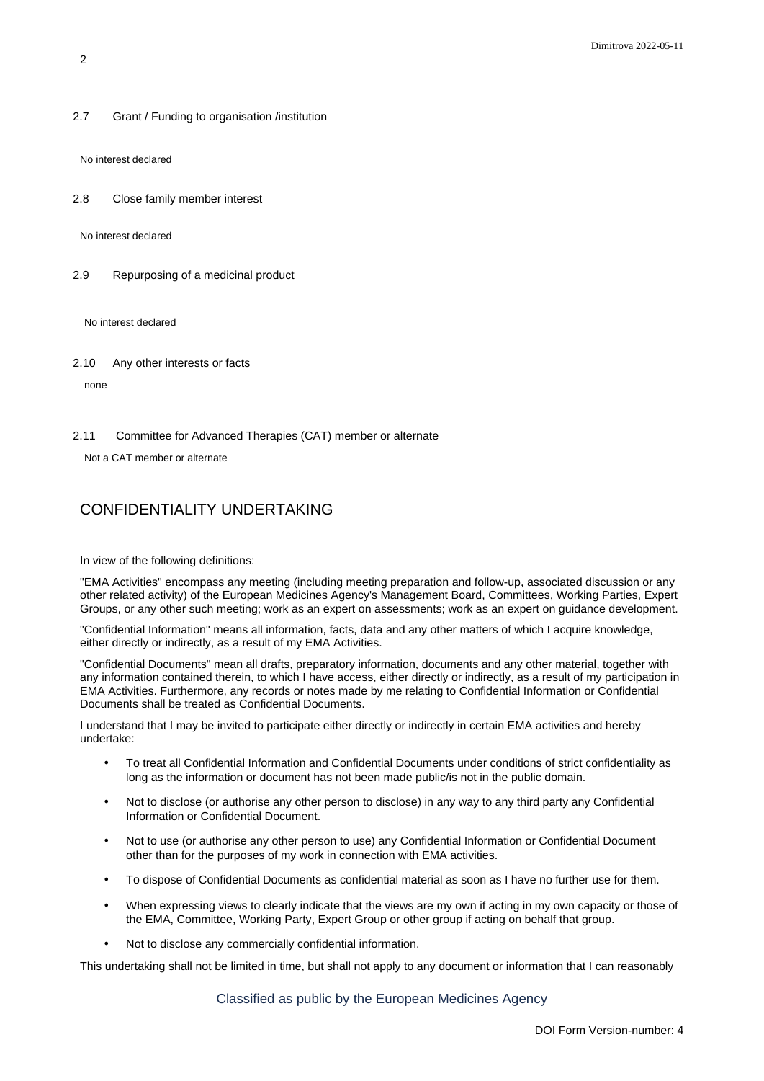2.7 Grant / Funding to organisation /institution

No interest declared

2.8 Close family member interest

No interest declared

2.9 Repurposing of a medicinal product

No interest declared

2.10 Any other interests or facts

none

2.11 Committee for Advanced Therapies (CAT) member or alternate

Not a CAT member or alternate

## CONFIDENTIALITY UNDERTAKING

In view of the following definitions:

"EMA Activities" encompass any meeting (including meeting preparation and follow-up, associated discussion or any other related activity) of the European Medicines Agency's Management Board, Committees, Working Parties, Expert Groups, or any other such meeting; work as an expert on assessments; work as an expert on guidance development.

"Confidential Information" means all information, facts, data and any other matters of which I acquire knowledge, either directly or indirectly, as a result of my EMA Activities.

"Confidential Documents" mean all drafts, preparatory information, documents and any other material, together with any information contained therein, to which I have access, either directly or indirectly, as a result of my participation in EMA Activities. Furthermore, any records or notes made by me relating to Confidential Information or Confidential Documents shall be treated as Confidential Documents.

I understand that I may be invited to participate either directly or indirectly in certain EMA activities and hereby undertake:

- To treat all Confidential Information and Confidential Documents under conditions of strict confidentiality as long as the information or document has not been made public/is not in the public domain.
- Not to disclose (or authorise any other person to disclose) in any way to any third party any Confidential Information or Confidential Document.
- Not to use (or authorise any other person to use) any Confidential Information or Confidential Document other than for the purposes of my work in connection with EMA activities.
- To dispose of Confidential Documents as confidential material as soon as I have no further use for them.
- When expressing views to clearly indicate that the views are my own if acting in my own capacity or those of the EMA, Committee, Working Party, Expert Group or other group if acting on behalf that group.
- Not to disclose any commercially confidential information.

This undertaking shall not be limited in time, but shall not apply to any document or information that I can reasonably

Classified as public by the European Medicines Agency